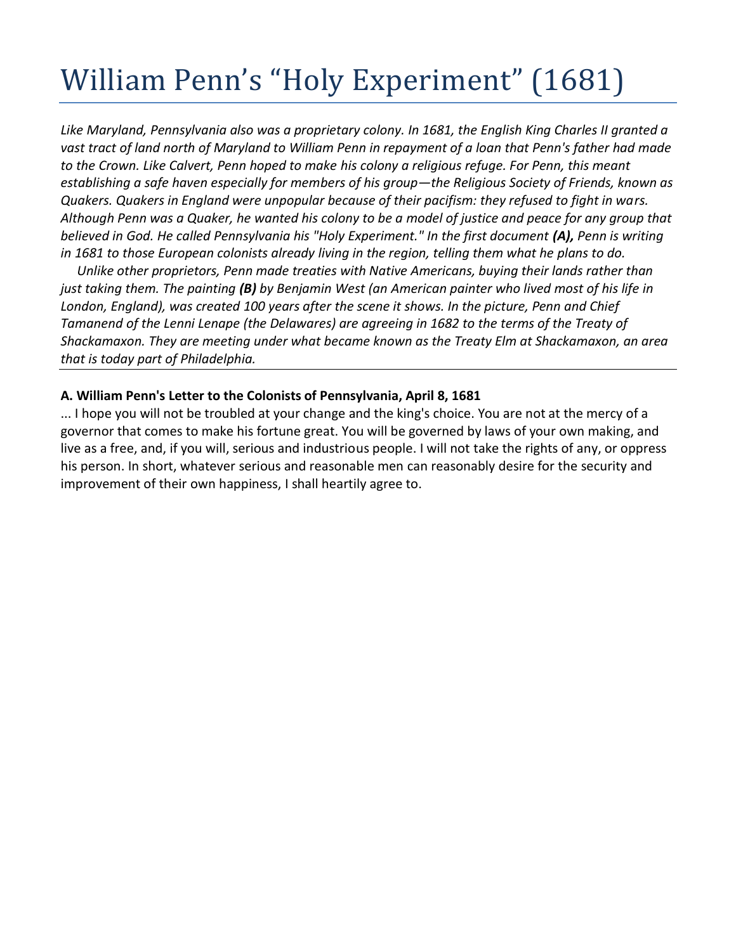## William Penn's "Holy Experiment" (1681)

*Like Maryland, Pennsylvania also was a proprietary colony. In 1681, the English King Charles II granted a vast tract of land north of Maryland to William Penn in repayment of a loan that Penn's father had made to the Crown. Like Calvert, Penn hoped to make his colony a religious refuge. For Penn, this meant establishing a safe haven especially for members of his group—the Religious Society of Friends, known as Quakers. Quakers in England were unpopular because of their pacifism: they refused to fight in wars. Although Penn was a Quaker, he wanted his colony to be a model of justice and peace for any group that believed in God. He called Pennsylvania his "Holy Experiment." In the first document (A), Penn is writing in 1681 to those European colonists already living in the region, telling them what he plans to do.*

*Unlike other proprietors, Penn made treaties with Native Americans, buying their lands rather than just taking them. The painting (B) by Benjamin West (an American painter who lived most of his life in London, England), was created 100 years after the scene it shows. In the picture, Penn and Chief Tamanend of the Lenni Lenape (the Delawares) are agreeing in 1682 to the terms of the Treaty of Shackamaxon. They are meeting under what became known as the Treaty Elm at Shackamaxon, an area that is today part of Philadelphia.*

## **A. William Penn's Letter to the Colonists of Pennsylvania, April 8, 1681**

... I hope you will not be troubled at your change and the king's choice. You are not at the mercy of a governor that comes to make his fortune great. You will be governed by laws of your own making, and live as a free, and, if you will, serious and industrious people. I will not take the rights of any, or oppress his person. In short, whatever serious and reasonable men can reasonably desire for the security and improvement of their own happiness, I shall heartily agree to.